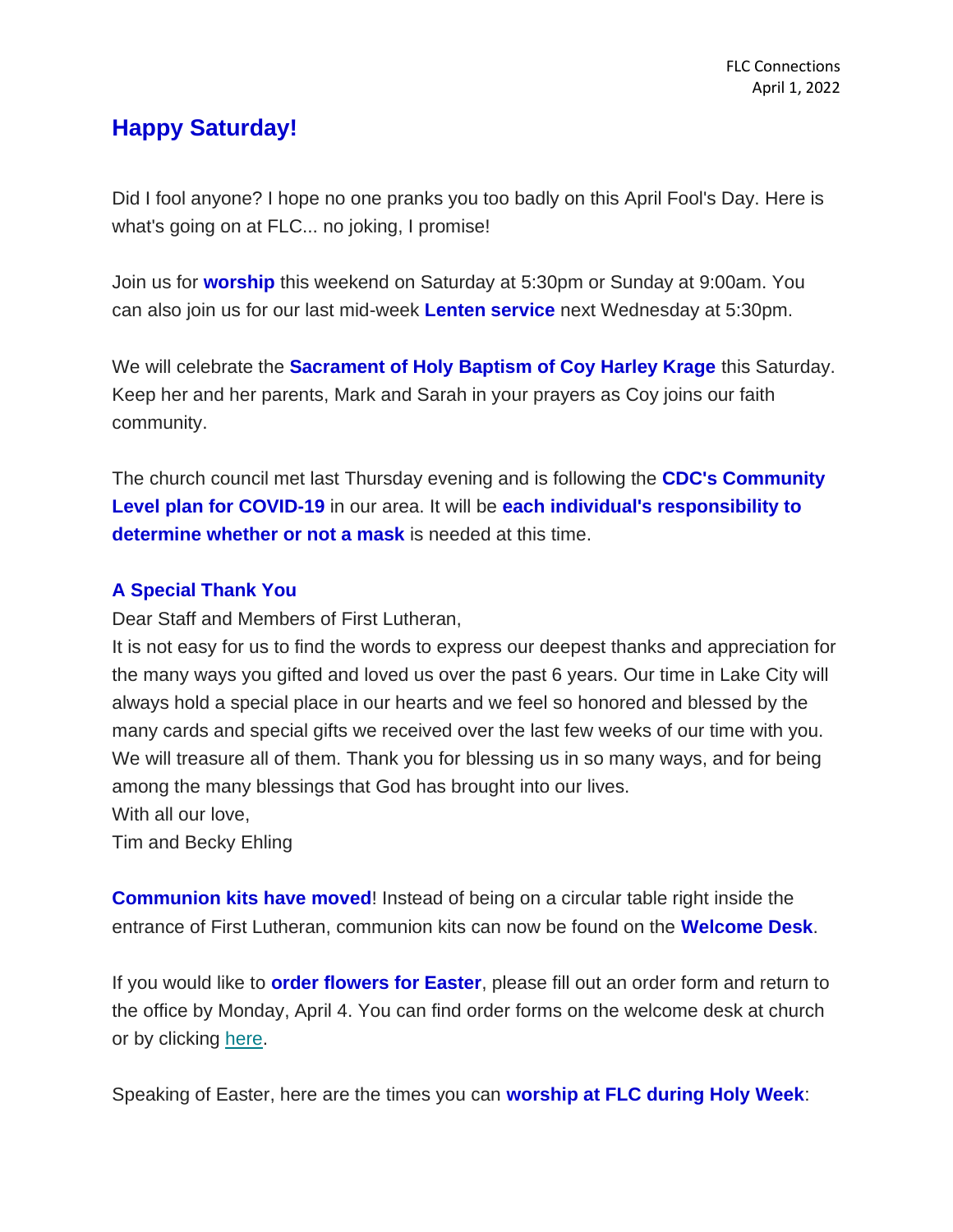## **Happy Saturday!**

Did I fool anyone? I hope no one pranks you too badly on this April Fool's Day. Here is what's going on at FLC... no joking, I promise!

Join us for **worship** this weekend on Saturday at 5:30pm or Sunday at 9:00am. You can also join us for our last mid-week **Lenten service** next Wednesday at 5:30pm.

We will celebrate the **Sacrament of Holy Baptism of Coy Harley Krage** this Saturday. Keep her and her parents, Mark and Sarah in your prayers as Coy joins our faith community.

The church council met last Thursday evening and is following the **CDC's Community Level plan for COVID-19** in our area. It will be **each individual's responsibility to determine whether or not a mask** is needed at this time.

## **A Special Thank You**

Dear Staff and Members of First Lutheran,

It is not easy for us to find the words to express our deepest thanks and appreciation for the many ways you gifted and loved us over the past 6 years. Our time in Lake City will always hold a special place in our hearts and we feel so honored and blessed by the many cards and special gifts we received over the last few weeks of our time with you. We will treasure all of them. Thank you for blessing us in so many ways, and for being among the many blessings that God has brought into our lives. With all our love,

Tim and Becky Ehling

**Communion kits have moved!** Instead of being on a circular table right inside the entrance of First Lutheran, communion kits can now be found on the **Welcome Desk**.

If you would like to **order flowers for Easter**, please fill out an order form and return to the office by Monday, April 4. You can find order forms on the welcome desk at church or by clicking [here.](https://mcusercontent.com/77c7c6d2c1cfcdf43b66ccb3d/files/679dc958-6a81-ad8b-dc43-995099c8c27c/Easter_Order_Sheet_2022.pdf)

Speaking of Easter, here are the times you can **worship at FLC during Holy Week**: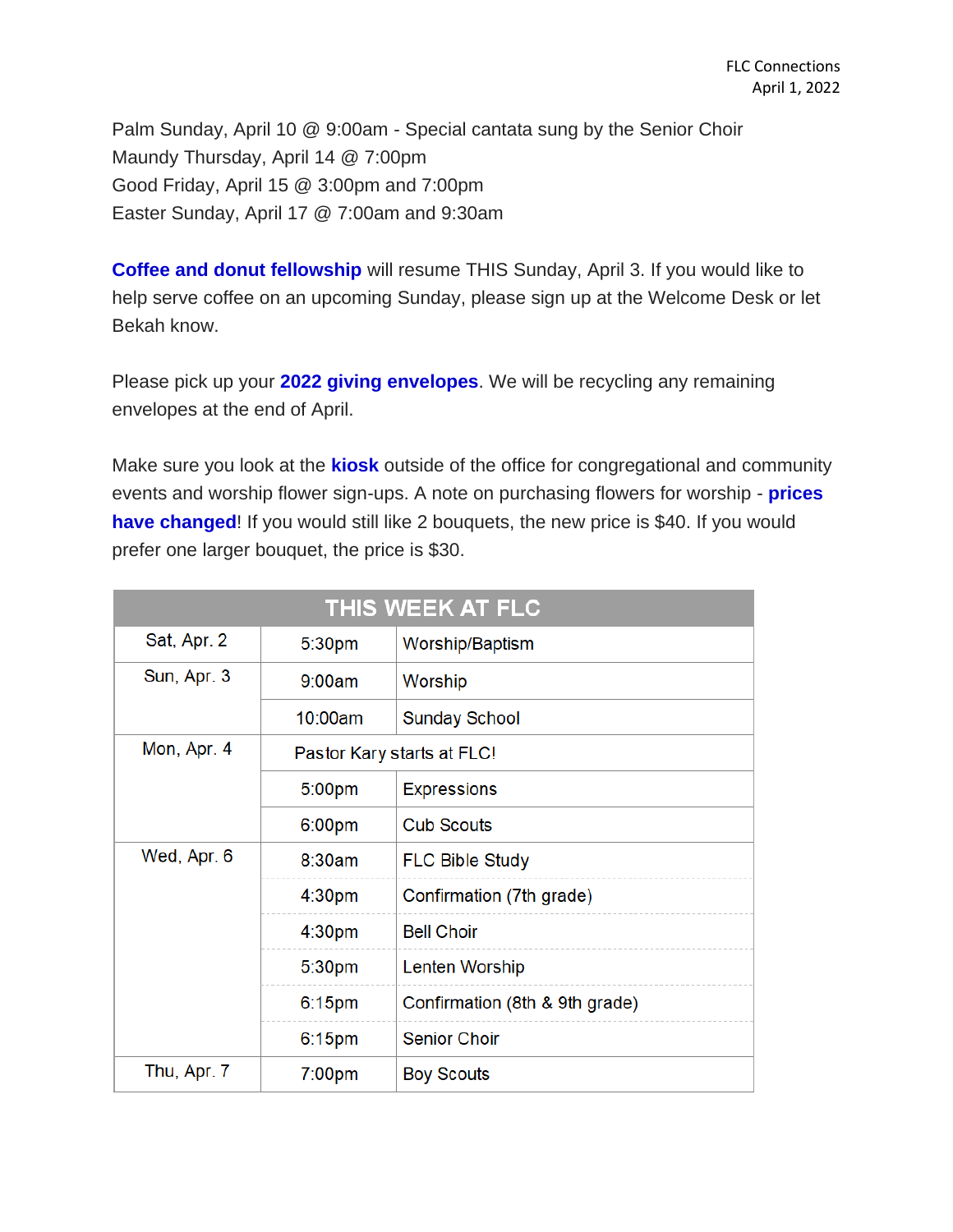Palm Sunday, April 10 @ 9:00am - Special cantata sung by the Senior Choir Maundy Thursday, April 14 @ 7:00pm Good Friday, April 15 @ 3:00pm and 7:00pm Easter Sunday, April 17 @ 7:00am and 9:30am

**Coffee and donut fellowship** will resume THIS Sunday, April 3. If you would like to help serve coffee on an upcoming Sunday, please sign up at the Welcome Desk or let Bekah know.

Please pick up your **2022 giving envelopes**. We will be recycling any remaining envelopes at the end of April.

Make sure you look at the **kiosk** outside of the office for congregational and community events and worship flower sign-ups. A note on purchasing flowers for worship - **prices have changed!** If you would still like 2 bouquets, the new price is \$40. If you would prefer one larger bouquet, the price is \$30.

| THIS WEEK AT FLC |                            |                                |
|------------------|----------------------------|--------------------------------|
| Sat, Apr. 2      | 5:30pm                     | Worship/Baptism                |
| Sun, Apr. 3      | 9:00am                     | Worship                        |
|                  | 10:00am                    | <b>Sunday School</b>           |
| Mon, Apr. 4      | Pastor Kary starts at FLC! |                                |
|                  | 5:00pm                     | <b>Expressions</b>             |
|                  | 6:00 <sub>pm</sub>         | <b>Cub Scouts</b>              |
| Wed, Apr. 6      | 8:30am                     | <b>FLC Bible Study</b>         |
|                  | 4:30 <sub>pm</sub>         | Confirmation (7th grade)       |
|                  | 4:30 <sub>pm</sub>         | <b>Bell Choir</b>              |
|                  | 5:30pm                     | Lenten Worship                 |
|                  | $6:15$ pm                  | Confirmation (8th & 9th grade) |
|                  | 6:15pm                     | <b>Senior Choir</b>            |
| Thu, Apr. 7      | 7:00 <sub>pm</sub>         | <b>Boy Scouts</b>              |